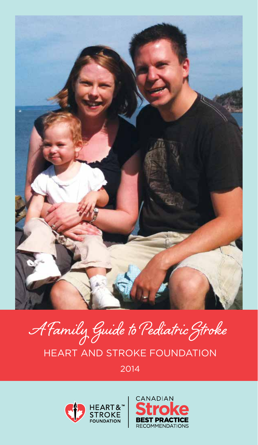

# A Family Guide to Pediatric Stroke HEART AND STROKE FOUNDATION 2014



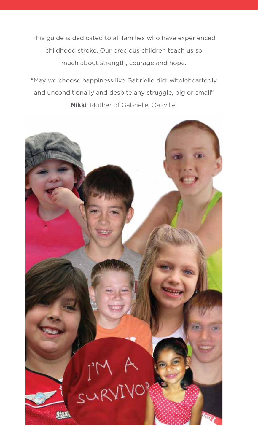This guide is dedicated to all families who have experienced childhood stroke. Our precious children teach us so much about strength, courage and hope.

"May we choose happiness like Gabrielle did: wholeheartedly and unconditionally and despite any struggle, big or small" **Nikki**, Mother of Gabrielle, Oakville.

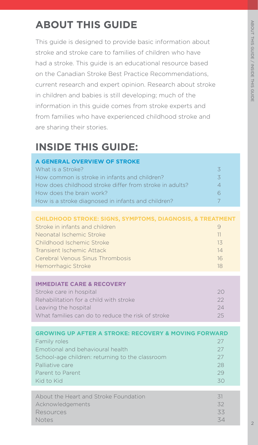### **ABOUT THIS GUIDE**

This guide is designed to provide basic information about stroke and stroke care to families of children who have had a stroke. This guide is an educational resource based on the Canadian Stroke Best Practice Recommendations, current research and expert opinion. Research about stroke in children and babies is still developing; much of the information in this guide comes from stroke experts and from families who have experienced childhood stroke and are sharing their stories.

### **INSIDE THIS GUIDE:**

| A GENERAL OVERVIEW OF STROKE                            |          |
|---------------------------------------------------------|----------|
| What is a Stroke?                                       |          |
| How common is stroke in infants and children?           | $\prec$  |
| How does childhood stroke differ from stroke in adults? | $\Delta$ |
| How does the brain work?                                |          |
| How is a stroke diagnosed in infants and children?      |          |

#### **CHILDHOOD STROKE: SIGNS, SYMPTOMS, DIAGNOSIS, & TREATMENT**

| Stroke in infants and children   |     |
|----------------------------------|-----|
| Neonatal Ischemic Stroke         | -11 |
| Childhood Ischemic Stroke        | 13  |
| Transient Ischemic Attack        | 14  |
| Cerebral Venous Sinus Thrombosis | 16  |
| Hemorrhagic Stroke               | 18  |

#### **IMMEDIATE CARE & RECOVERY**

| Stroke care in hospital                           | 20   |
|---------------------------------------------------|------|
| Rehabilitation for a child with stroke            | $22$ |
| Leaving the hospital                              | 24   |
| What families can do to reduce the risk of stroke | 25   |
|                                                   |      |

| <b>GROWING UP AFTER A STROKE: RECOVERY &amp; MOVING FORWARD</b> |    |
|-----------------------------------------------------------------|----|
| Family roles                                                    | 27 |
| Emotional and behavioural health                                | 27 |
| School-age children: returning to the classroom                 | 27 |
| Palliative care                                                 | 28 |
| Parent to Parent                                                | 29 |
| Kid to Kid                                                      | 30 |
|                                                                 |    |
| About the Heart and Stroke Foundation                           | 31 |
| Acknowledgements                                                | 32 |

Resources 33 Notes 34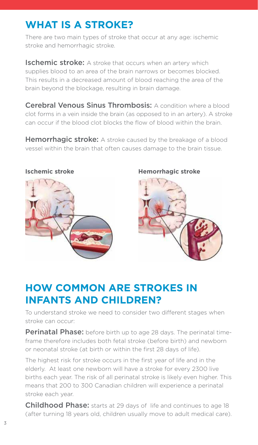### **WHAT IS A STROKE?**

There are two main types of stroke that occur at any age: ischemic stroke and hemorrhagic stroke.

**Ischemic stroke:** A stroke that occurs when an artery which supplies blood to an area of the brain narrows or becomes blocked. This results in a decreased amount of blood reaching the area of the brain beyond the blockage, resulting in brain damage.

**Cerebral Venous Sinus Thrombosis:** A condition where a blood clot forms in a vein inside the brain (as opposed to in an artery). A stroke can occur if the blood clot blocks the flow of blood within the brain.

**Hemorrhagic stroke:** A stroke caused by the breakage of a blood vessel within the brain that often causes damage to the brain tissue.



#### **Ischemic stroke Hemorrhagic stroke**



### **HOW COMMON ARE STROKES IN INFANTS AND CHILDREN?**

To understand stroke we need to consider two different stages when stroke can occur:

**Perinatal Phase:** before birth up to age 28 days. The perinatal timeframe therefore includes both fetal stroke (before birth) and newborn or neonatal stroke (at birth or within the first 28 days of life).

The highest risk for stroke occurs in the first year of life and in the elderly. At least one newborn will have a stroke for every 2300 live births each year. The risk of all perinatal stroke is likely even higher. This means that 200 to 300 Canadian children will experience a perinatal stroke each year.

**Childhood Phase:** starts at 29 days of life and continues to age 18 (after turning 18 years old, children usually move to adult medical care).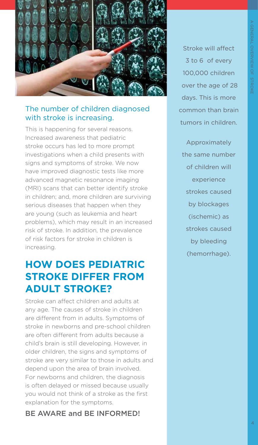

#### The number of children diagnosed with stroke is increasing.

This is happening for several reasons. Increased awareness that pediatric stroke occurs has led to more prompt investigations when a child presents with signs and symptoms of stroke. We now have improved diagnostic tests like more advanced magnetic resonance imaging (MRI) scans that can better identify stroke in children; and, more children are surviving serious diseases that happen when they are young (such as leukemia and heart problems), which may result in an increased risk of stroke. In addition, the prevalence of risk factors for stroke in children is increasing.

#### **HOW DOES PEDIATRIC STROKE DIFFER FROM ADULT STROKE?**

Stroke can affect children and adults at any age. The causes of stroke in children are different from in adults. Symptoms of stroke in newborns and pre-school children are often different from adults because a child's brain is still developing. However, in older children, the signs and symptoms of stroke are very similar to those in adults and depend upon the area of brain involved. For newborns and children, the diagnosis is often delayed or missed because usually you would not think of a stroke as the first explanation for the symptoms.

BE AWARE and BE INFORMED!

Stroke will affect 3 to 6 of every 100,000 children over the age of 28 days. This is more common than brain tumors in children.

Approximately the same number of children will experience strokes caused by blockages (ischemic) as strokes caused by bleeding (hemorrhage).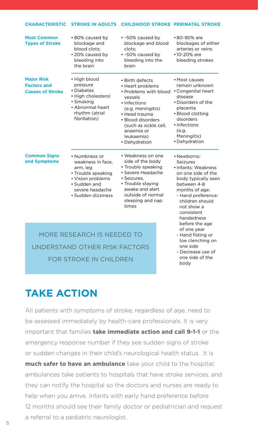| <b>CHARACTERISTIC</b>                                              | <b>STROKE IN ADULTS</b>                                                                                                                            | <b>CHILDHOOD STROKE PERINATAL STROKE</b>                                                                                                                                                                                         |                                                                                                                                                                                                                 |  |
|--------------------------------------------------------------------|----------------------------------------------------------------------------------------------------------------------------------------------------|----------------------------------------------------------------------------------------------------------------------------------------------------------------------------------------------------------------------------------|-----------------------------------------------------------------------------------------------------------------------------------------------------------------------------------------------------------------|--|
| <b>Most Common</b><br><b>Types of Stroke</b>                       | • 80% caused by<br>blockage and<br>blood clots;<br>• 20% caused by<br>bleeding into<br>the brain                                                   | • ~50% caused by<br>blockage and blood<br>clots;<br>• ~50% caused by<br>bleeding into the<br>brain                                                                                                                               | •80-90% are<br>blockages of either<br>arteries or veins<br>$•10-20%$ are<br>bleeding strokes                                                                                                                    |  |
| <b>Major Risk</b><br><b>Factors and</b><br><b>Causes of Stroke</b> | • High blood<br>pressure<br>• Diabetes<br>• High cholesterol<br>• Smoking<br>• Abnormal heart<br>rhythm (atrial<br>fibrillation)                   | $\bullet$ Birth defects<br>• Heart problems<br>• Problems with blood<br>vessels<br>• Infections<br>(e.g. meningitis)<br>• Head trauma<br>· Blood disorders<br>(such as sickle cell,<br>anaemia or<br>leukaemia)<br>• Dehydration | • Most causes<br>remain unknown<br>• Congenital heart<br>disease<br>• Disorders of the<br>placenta<br>• Blood clotting<br>disorders<br>· Infections<br>(e.g.<br>Meningitis)<br>• Dehydration                    |  |
| <b>Common Signs</b><br>and Symptoms                                | • Numbness or<br>weakness in face,<br>arm, leg<br>• Trouble speaking<br>• Vision problems<br>• Sudden and<br>severe headache<br>· Sudden dizziness | • Weakness on one<br>side of the body<br>• Trouble speaking<br>• Severe Headache<br>· Seizures,<br>• Trouble staying<br>awake and alert<br>outside of normal<br>sleeping and nap<br>times                                        | • Newborns:<br>Seizures<br>• Infants: Weakness<br>on one side of the<br>body typically seen<br>between 4-8<br>months of age:<br>- Hand preference:<br>children should<br>not show a<br>consistent<br>handedness |  |
| MORE RESEARCH IS NEEDED TO<br>UNDERSTAND OTHER RISK FACTORS        |                                                                                                                                                    | before the age<br>of one year<br>- Hand fisting or<br>toe clenching on<br>one side<br>- Decrease use of                                                                                                                          |                                                                                                                                                                                                                 |  |

FOR STROKE IN CHILDREN

one side of the body

### **TAKE ACTION**

All patients with symptoms of stroke, regardless of age, need to be assessed immediately by health-care professionals. It is very important that families **take immediate action and call 9-1-1** or the emergency response number if they see sudden signs of stroke or sudden changes in their child's neurological health status. It is **much safer to have an ambulance** take your child to the hospital; ambulances take patients to hospitals that have stroke services, and they can notify the hospital so the doctors and nurses are ready to help when you arrive. Infants with early hand preference before 12 months should see their family doctor or pediatrician and request a referral to a pediatric neurologist.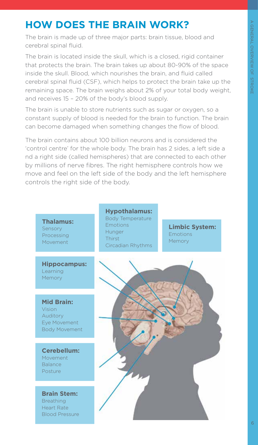### **HOW DOES THE BRAIN WORK?**

The brain is made up of three major parts: brain tissue, blood and cerebral spinal fluid.

The brain is located inside the skull, which is a closed, rigid container that protects the brain. The brain takes up about 80-90% of the space inside the skull. Blood, which nourishes the brain, and fluid called cerebral spinal fluid (CSF), which helps to protect the brain take up the remaining space. The brain weighs about 2% of your total body weight, and receives 15 – 20% of the body's blood supply.

The brain is unable to store nutrients such as sugar or oxygen, so a constant supply of blood is needed for the brain to function. The brain can become damaged when something changes the flow of blood.

The brain contains about 100 billion neurons and is considered the 'control centre' for the whole body. The brain has 2 sides, a left side a nd a right side (called hemispheres) that are connected to each other by millions of nerve fibres. The right hemisphere controls how we move and feel on the left side of the body and the left hemisphere controls the right side of the body.



**Hippocampus:** Learning Memory

**Mid Brain:** Vision Auditory Eye Movement Body Movement

**Cerebellum:** Movement Balance Posture

**Brain Stem: Breathing** Heart Rate Blood Pressure

**Hypothalamus:** Body Temperature Emotions Hunger Thirst Circadian Rhythms

**Limbic System: Emotions** Memory

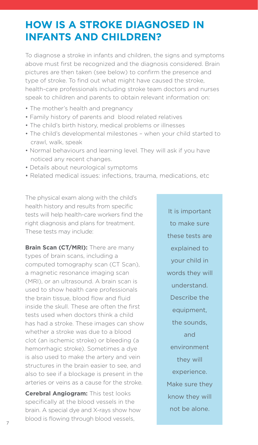#### **HOW IS A STROKE DIAGNOSED IN INFANTS AND CHILDREN?**

To diagnose a stroke in infants and children, the signs and symptoms above must first be recognized and the diagnosis considered. Brain pictures are then taken (see below) to confirm the presence and type of stroke. To find out what might have caused the stroke, health-care professionals including stroke team doctors and nurses speak to children and parents to obtain relevant information on:

- The mother's health and pregnancy
- Family history of parents and blood related relatives
- The child's birth history, medical problems or illnesses
- The child's developmental milestones when your child started to crawl, walk, speak
- Normal behaviours and learning level. They will ask if you have noticed any recent changes.
- Details about neurological symptoms
- Related medical issues: infections, trauma, medications, etc

The physical exam along with the child's health history and results from specific tests will help health-care workers find the right diagnosis and plans for treatment. These tests may include:

**Brain Scan (CT/MRI):** There are many types of brain scans, including a computed tomography scan (CT Scan), a magnetic resonance imaging scan (MRI), or an ultrasound. A brain scan is used to show health care professionals the brain tissue, blood flow and fluid inside the skull. These are often the first tests used when doctors think a child has had a stroke. These images can show whether a stroke was due to a blood clot (an ischemic stroke) or bleeding (a hemorrhagic stroke). Sometimes a dye is also used to make the artery and vein structures in the brain easier to see, and also to see if a blockage is present in the arteries or veins as a cause for the stroke.

**Cerebral Angiogram:** This test looks specifically at the blood vessels in the brain. A special dye and X-rays show how blood is flowing through blood vessels,

It is important to make sure these tests are explained to your child in words they will understand. Describe the equipment, the sounds, and environment they will experience. Make sure they know they will not be alone.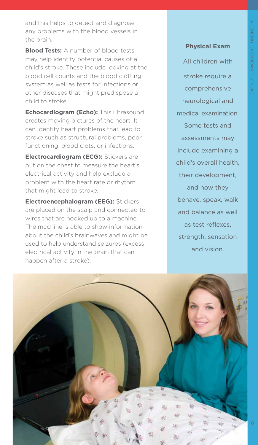A GENERAL OVERVIEW OF STROKE GENERAL OVERVIEW OF STROKE

and this helps to detect and diagnose any problems with the blood vessels in the brain.

**Blood Tests:** A number of blood tests may help identify potential causes of a child's stroke. These include looking at the blood cell counts and the blood clotting system as well as tests for infections or other diseases that might predispose a child to stroke.

**Echocardiogram (Echo):** This ultrasound creates moving pictures of the heart. It can identify heart problems that lead to stroke such as structural problems, poor functioning, blood clots, or infections.

**Electrocardiogram (ECG):** Stickers are put on the chest to measure the heart's electrical activity and help exclude a problem with the heart rate or rhythm that might lead to stroke.

**Electroencephalogram (EEG):** Stickers are placed on the scalp and connected to wires that are hooked up to a machine. The machine is able to show information about the child's brainwaves and might be used to help understand seizures (excess electrical activity in the brain that can happen after a stroke).

#### **Physical Exam**

All children with stroke require a comprehensive neurological and medical examination. Some tests and assessments may include examining a child's overall health, their development, and how they behave, speak, walk and balance as well as test reflexes, strength, sensation and vision.

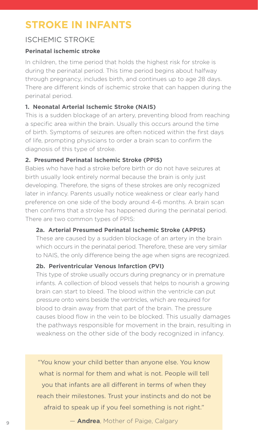### **STROKE IN INFANTS**

#### ISCHEMIC STROKE

#### **Perinatal ischemic stroke**

In children, the time period that holds the highest risk for stroke is during the perinatal period. This time period begins about halfway through pregnancy, includes birth, and continues up to age 28 days. There are different kinds of ischemic stroke that can happen during the perinatal period.

#### **1. Neonatal Arterial Ischemic Stroke (NAIS)**

This is a sudden blockage of an artery, preventing blood from reaching a specific area within the brain. Usually this occurs around the time of birth. Symptoms of seizures are often noticed within the first days of life, prompting physicians to order a brain scan to confirm the diagnosis of this type of stroke.

#### **2. Presumed Perinatal Ischemic Stroke (PPIS)**

Babies who have had a stroke before birth or do not have seizures at birth usually look entirely normal because the brain is only just developing. Therefore, the signs of these strokes are only recognized later in infancy. Parents usually notice weakness or clear early hand preference on one side of the body around 4-6 months. A brain scan then confirms that a stroke has happened during the perinatal period. There are two common types of PPIS:

#### **2a. Arterial Presumed Perinatal Ischemic Stroke (APPIS)**

 These are caused by a sudden blockage of an artery in the brain which occurs in the perinatal period. Therefore, these are very similar to NAIS, the only difference being the age when signs are recognized.

#### **2b. Periventricular Venous Infarction (PVI)**

 This type of stroke usually occurs during pregnancy or in premature infants. A collection of blood vessels that helps to nourish a growing brain can start to bleed. The blood within the ventricle can put pressure onto veins beside the ventricles, which are required for blood to drain away from that part of the brain. The pressure causes blood flow in the vein to be blocked. This usually damages the pathways responsible for movement in the brain, resulting in weakness on the other side of the body recognized in infancy.

"You know your child better than anyone else. You know what is normal for them and what is not. People will tell you that infants are all different in terms of when they reach their milestones. Trust your instincts and do not be afraid to speak up if you feel something is not right."

— **Andrea**, Mother of Paige, Calgary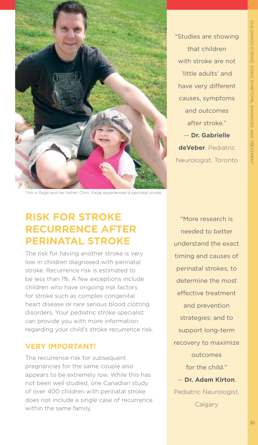

"Studies are showing that children with stroke are not 'little adults' and have very different causes, symptoms and outcomes after stroke." — **Dr. Gabrielle deVeber**, Pediatric

CHILDHOOD STROKE: SIGNS, SYMPTOMS, DIAGNOSIS AND TREATMENT

CHILDHOOD STROKE: SIGNS, SYMPTOMS, DIAGNOSIS AND TREATMENT

Neurologist, Toronto

This is *Paige* and her father, Chris. Paige experienced a perinatal stroke.

#### **RISK FOR STROKE RECURRENCE AFTER PERINATAL STROKE**

The risk for having another stroke is very low in children diagnosed with perinatal stroke. Recurrence risk is estimated to be less than 1%. A few exceptions include children who have ongoing risk factors for stroke such as complex congenital heart disease or rare serious blood clotting disorders. Your pediatric stroke specialist can provide you with more information regarding your child's stroke recurrence risk.

#### **VERY IMPORTANT!**

The recurrence risk for subsequent pregnancies for the same couple also appears to be extremely low. While this has not been well studied, one Canadian study of over 400 children with perinatal stroke does not include a single case of recurrence within the same family.

"More research is needed to better understand the exact timing and causes of perinatal strokes; to determine the most effective treatment and prevention strategies; and to support long-term recovery to maximize outcomes for the child." — **Dr. Adam Kirton**, Pediatric Neurologist, **Calgary**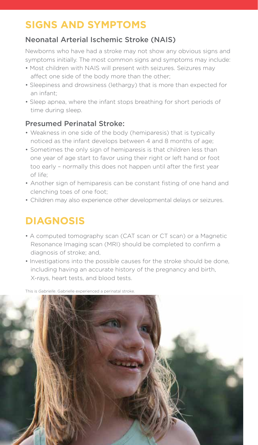### **SIGNS AND SYMPTOMS**

#### Neonatal Arterial Ischemic Stroke (NAIS)

Newborns who have had a stroke may not show any obvious signs and symptoms initially. The most common signs and symptoms may include:

- Most children with NAIS will present with seizures. Seizures may affect one side of the body more than the other;
- Sleepiness and drowsiness (lethargy) that is more than expected for an infant;
- Sleep apnea, where the infant stops breathing for short periods of time during sleep.

#### Presumed Perinatal Stroke:

- Weakness in one side of the body (hemiparesis) that is typically noticed as the infant develops between 4 and 8 months of age;
- Sometimes the only sign of hemiparesis is that children less than one year of age start to favor using their right or left hand or foot too early – normally this does not happen until after the first year of life;
- Another sign of hemiparesis can be constant fisting of one hand and clenching toes of one foot;
- Children may also experience other developmental delays or seizures.

### **DIAGNOSIS**

- A computed tomography scan (CAT scan or CT scan) or a Magnetic Resonance Imaging scan (MRI) should be completed to confirm a diagnosis of stroke; and,
- Investigations into the possible causes for the stroke should be done, including having an accurate history of the pregnancy and birth, X-rays, heart tests, and blood tests.

This is *Gabrielle*. Gabrielle experienced a perinatal stroke.

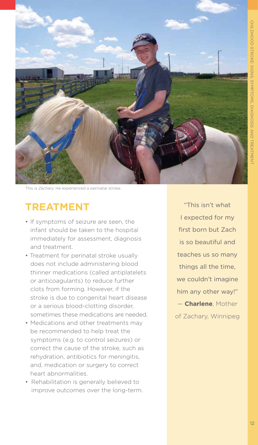

This is *Zachary.* He experienced a perinatal stroke.

#### **TREATMENT**

- If symptoms of seizure are seen, the infant should be taken to the hospital immediately for assessment, diagnosis and treatment.
- Treatment for perinatal stroke usually does not include administering blood thinner medications (called antiplatelets or anticoagulants) to reduce further clots from forming. However, if the stroke is due to congenital heart disease or a serious blood-clotting disorder, sometimes these medications are needed.
- Medications and other treatments may be recommended to help treat the symptoms (e.g. to control seizures) or correct the cause of the stroke, such as rehydration, antibiotics for meningitis, and, medication or surgery to correct heart abnormalities.
- Rehabilitation is generally believed to improve outcomes over the long-term.

"This isn't what I expected for my first born but Zach is so beautiful and teaches us so many things all the time, we couldn't imagine him any other way!" — **Charlene**, Mother of Zachary, Winnipeg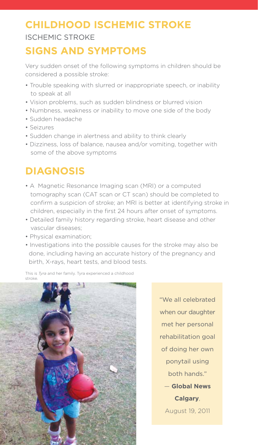### **CHILDHOOD ISCHEMIC STROKE** ISCHEMIC STROKE

### **SIGNS AND SYMPTOMS**

Very sudden onset of the following symptoms in children should be considered a possible stroke:

- Trouble speaking with slurred or inappropriate speech, or inability to speak at all
- Vision problems, such as sudden blindness or blurred vision
- Numbness, weakness or inability to move one side of the body
- Sudden headache
- Seizures
- Sudden change in alertness and ability to think clearly
- Dizziness, loss of balance, nausea and/or vomiting, together with some of the above symptoms

### **DIAGNOSIS**

- A Magnetic Resonance Imaging scan (MRI) or a computed tomography scan (CAT scan or CT scan) should be completed to confirm a suspicion of stroke; an MRI is better at identifying stroke in children, especially in the first 24 hours after onset of symptoms.
- Detailed family history regarding stroke, heart disease and other vascular diseases;
- Physical examination;
- Investigations into the possible causes for the stroke may also be done, including having an accurate history of the pregnancy and birth, X-rays, heart tests, and blood tests.

This is *Tyra* and her family. Tyra experienced a childhood stroke.



"We all celebrated when our daughter met her personal rehabilitation goal of doing her own ponytail using both hands." — **Global News** 

> **Calgary**, August 19, 2011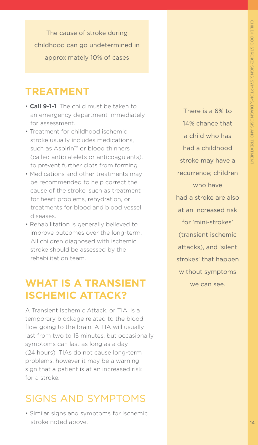The cause of stroke during childhood can go undetermined in approximately 10% of cases

#### **TREATMENT**

- **Call 9-1-1**. The child must be taken to an emergency department immediately for assessment.
- Treatment for childhood ischemic stroke usually includes medications, such as Aspirin™ or blood thinners (called antiplatelets or anticoagulants), to prevent further clots from forming.
- Medications and other treatments may be recommended to help correct the cause of the stroke, such as treatment for heart problems, rehydration, or treatments for blood and blood vessel diseases.
- Rehabilitation is generally believed to improve outcomes over the long-term. All children diagnosed with ischemic stroke should be assessed by the rehabilitation team.

#### **WHAT IS A TRANSIENT ISCHEMIC ATTACK?**

A Transient Ischemic Attack, or TIA, is a temporary blockage related to the blood flow going to the brain. A TIA will usually last from two to 15 minutes, but occasionally symptoms can last as long as a day (24 hours). TIAs do not cause long-term problems, however it may be a warning sign that a patient is at an increased risk for a stroke.

#### SIGNS AND SYMPTOMS

• Similar signs and symptoms for ischemic stroke noted above.

There is a 6% to 14% chance that a child who has had a childhood stroke may have a recurrence; children who have had a stroke are also at an increased risk for 'mini-strokes' (transient ischemic attacks), and 'silent strokes' that happen without symptoms we can see.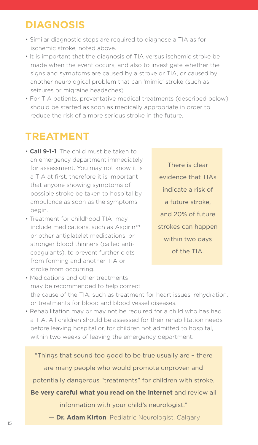### **DIAGNOSIS**

- Similar diagnostic steps are required to diagnose a TIA as for ischemic stroke, noted above.
- It is important that the diagnosis of TIA versus ischemic stroke be made when the event occurs, and also to investigate whether the signs and symptoms are caused by a stroke or TIA, or caused by another neurological problem that can 'mimic' stroke (such as seizures or migraine headaches).
- For TIA patients, preventative medical treatments (described below) should be started as soon as medically appropriate in order to reduce the risk of a more serious stroke in the future.

### **TREATMENT**

- • **Call 9-1-1**. The child must be taken to an emergency department immediately for assessment. You may not know it is a TIA at first, therefore it is important that anyone showing symptoms of possible stroke be taken to hospital by ambulance as soon as the symptoms begin.
- Treatment for childhood TIA may include medications, such as Aspirin ™ or other antiplatelet medications, or stronger blood thinners (called anticoagulants), to prevent further clots from forming and another TIA or stroke from occurring.

There is clear evidence that TIAs indicate a risk of a future stroke, and 20% of future strokes can happen within two days of the TIA.

- Medications and other treatments may be recommended to help correct the cause of the TIA, such as treatment for heart issues, rehydration, or treatments for blood and blood vessel diseases.
- Rehabilitation may or may not be required for a child who has had a TIA. All children should be assessed for their rehabilitation needs before leaving hospital or, for children not admitted to hospital, within two weeks of leaving the emergency department.

"Things that sound too good to be true usually are – there are many people who would promote unproven and potentially dangerous "treatments" for children with stroke. **Be very careful what you read on the internet** and review all

information with your child's neurologist."

— **Dr. Adam Kirton**, Pediatric Neurologist, Calgary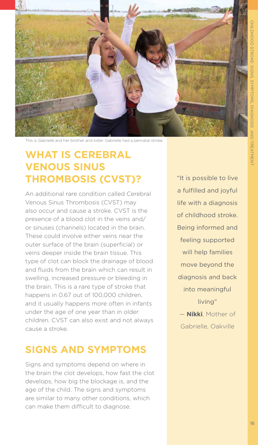

This is *Gabrielle* and her brother and sister. Gabrielle had a perinatal stroke.

### **WHAT IS CEREBRAL VENOUS SINUS THROMBOSIS (CVST)?**

An additional rare condition called Cerebral Venous Sinus Thrombosis (CVST) may also occur and cause a stroke. CVST is the presence of a blood clot in the veins and/ or sinuses (channels) located in the brain. These could involve either veins near the outer surface of the brain (superficial) or veins deeper inside the brain tissue. This type of clot can block the drainage of blood and fluids from the brain which can result in swelling, increased pressure or bleeding in the brain. This is a rare type of stroke that happens in 0.67 out of 100,000 children, and it usually happens more often in infants under the age of one year than in older children. CVST can also exist and not always cause a stroke.

#### **SIGNS AND SYMPTOMS**

Signs and symptoms depend on where in the brain the clot develops, how fast the clot develops, how big the blockage is, and the age of the child. The signs and symptoms are similar to many other conditions, which can make them difficult to diagnose.

"It is possible to live a fulfilled and joyful life with a diagnosis of childhood stroke. Being informed and feeling supported will help families move beyond the diagnosis and back into meaningful living" — **Nikki**, Mother of

Gabrielle, Oakville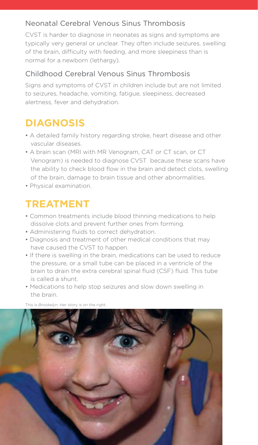#### Neonatal Cerebral Venous Sinus Thrombosis

CVST is harder to diagnose in neonates as signs and symptoms are typically very general or unclear. They often include seizures, swelling of the brain, difficulty with feeding, and more sleepiness than is normal for a newborn (lethargy).

#### Childhood Cerebral Venous Sinus Thrombosis

Signs and symptoms of CVST in children include but are not limited to seizures, headache, vomiting, fatigue, sleepiness, decreased alertness, fever and dehydration.

### **DIAGNOSIS**

- A detailed family history regarding stroke, heart disease and other vascular diseases.
- A brain scan (MRI with MR Venogram, CAT or CT scan, or CT Venogram) is needed to diagnose CVST because these scans have the ability to check blood flow in the brain and detect clots, swelling of the brain, damage to brain tissue and other abnormalities.
- Physical examination.

### **TREATMENT**

- Common treatments include blood thinning medications to help dissolve clots and prevent further ones from forming.
- Administering fluids to correct dehydration.
- Diagnosis and treatment of other medical conditions that may have caused the CVST to happen.
- If there is swelling in the brain, medications can be used to reduce the pressure, or a small tube can be placed in a ventricle of the brain to drain the extra cerebral spinal fluid (CSF) fluid. This tube is called a shunt.
- Medications to help stop seizures and slow down swelling in the brain.

This is *Brookelyn*. Her story is on the right.

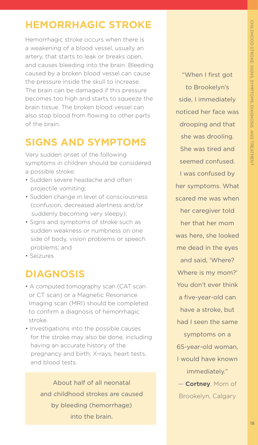### **HEMORRHAGIC STROKE**

Hemorrhagic stroke occurs when there is a weakening of a blood vessel, usually an artery, that starts to leak or breaks open, and causes bleeding into the brain. Bleeding caused by a broken blood vessel can cause the pressure inside the skull to increase. The brain can be damaged if this pressure becomes too high and starts to squeeze the brain tissue. The broken blood vessel can also stop blood from flowing to other parts of the brain.

### **SIGNS AND SYMPTOMS**

Very sudden onset of the following symptoms in children should be considered a possible stroke:

- Sudden severe headache and often projectile vomiting;
- Sudden change in level of consciousness (confusion, decreased alertness and/or  suddenly becoming very sleepy);
- Signs and symptoms of stroke such as sudden weakness or numbness on one side of body, vision problems or speech problems; and
- Seizures

#### **DIAGNOSIS**

- A computed tomography scan (CAT scan or CT scan) or a Magnetic Resonance Imaging scan (MRI) should be completed to confirm a diagnosis of hemorrhagic stroke.
- Investigations into the possible causes for the stroke may also be done, including having an accurate history of the pregnancy and birth, X-rays, heart tests, and blood tests.

About half of all neonatal and childhood strokes are caused by bleeding (hemorrhage) into the brain.

"When I first got to Brookelyn's side, I immediately noticed her face was drooping and that she was drooling. She was tired and seemed confused. I was confused by her symptoms. What scared me was when her caregiver told her that her mom was here, she looked me dead in the eyes and said, 'Where? Where is my mom?' You don't ever think a five-year-old can have a stroke, but had I seen the same symptoms on a 65-year-old woman, I would have known immediately." — **Cortney**, Mom of Brookelyn, Calgary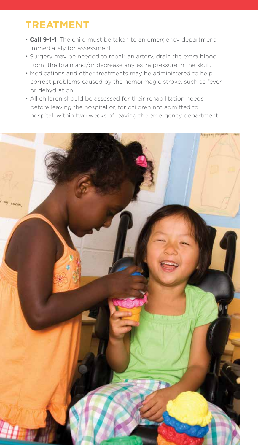### **TREATMENT**

- **Call 9-1-1**. The child must be taken to an emergency department immediately for assessment.
- Surgery may be needed to repair an artery, drain the extra blood from the brain and/or decrease any extra pressure in the skull.
- Medications and other treatments may be administered to help correct problems caused by the hemorrhagic stroke, such as fever or dehydration.
- All children should be assessed for their rehabilitation needs before leaving the hospital or, for children not admitted to hospital, within two weeks of leaving the emergency department.

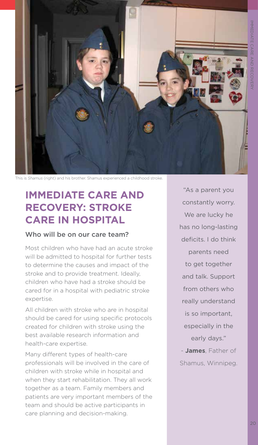

This is *Shamus* (right) and his brother. Shamus experienced a childhood stroke.

### **IMMEDIATE CARE AND RECOVERY: STROKE CARE IN HOSPITAL**

#### Who will be on our care team?

Most children who have had an acute stroke will be admitted to hospital for further tests to determine the causes and impact of the stroke and to provide treatment. Ideally, children who have had a stroke should be cared for in a hospital with pediatric stroke expertise.

All children with stroke who are in hospital should be cared for using specific protocols created for children with stroke using the best available research information and health-care expertise.

Many different types of health-care professionals will be involved in the care of children with stroke while in hospital and when they start rehabilitation. They all work together as a team. Family members and patients are very important members of the team and should be active participants in care planning and decision-making.

"As a parent you constantly worry. We are lucky he has no long-lasting deficits. I do think parents need to get together and talk. Support from others who really understand is so important, especially in the early days." - **James**, Father of

Shamus, Winnipeg.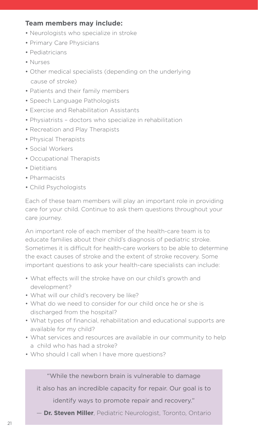#### **Team members may include:**

- Neurologists who specialize in stroke
- Primary Care Physicians
- Pediatricians
- Nurses
- Other medical specialists (depending on the underlying cause of stroke)
- Patients and their family members
- Speech Language Pathologists
- Exercise and Rehabilitation Assistants
- Physiatrists doctors who specialize in rehabilitation
- Recreation and Play Therapists
- Physical Therapists
- Social Workers
- Occupational Therapists
- Dietitians
- Pharmacists
- Child Psychologists

Each of these team members will play an important role in providing care for your child. Continue to ask them questions throughout your care journey.

An important role of each member of the health-care team is to educate families about their child's diagnosis of pediatric stroke. Sometimes it is difficult for health-care workers to be able to determine the exact causes of stroke and the extent of stroke recovery. Some important questions to ask your health-care specialists can include:

- What effects will the stroke have on our child's growth and development?
- What will our child's recovery be like?
- What do we need to consider for our child once he or she is discharged from the hospital?
- What types of financial, rehabilitation and educational supports are available for my child?
- What services and resources are available in our community to help a child who has had a stroke?
- Who should I call when I have more questions?

"While the newborn brain is vulnerable to damage

it also has an incredible capacity for repair. Our goal is to

identify ways to promote repair and recovery."

— **Dr. Steven Miller**, Pediatric Neurologist, Toronto, Ontario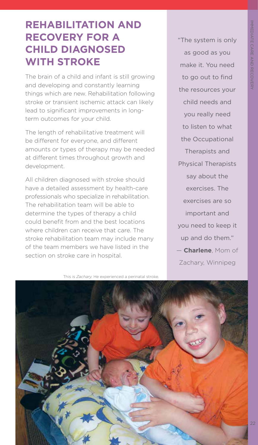22

#### **REHABILITATION AND RECOVERY FOR A CHILD DIAGNOSED WITH STROKE**

The brain of a child and infant is still growing and developing and constantly learning things which are new. Rehabilitation following stroke or transient ischemic attack can likely lead to significant improvements in longterm outcomes for your child.

The length of rehabilitative treatment will be different for everyone, and different amounts or types of therapy may be needed at different times throughout growth and development.

All children diagnosed with stroke should have a detailed assessment by health-care professionals who specialize in rehabilitation. The rehabilitation team will be able to determine the types of therapy a child could benefit from and the best locations where children can receive that care. The stroke rehabilitation team may include many of the team members we have listed in the section on stroke care in hospital.

This is *Zachary.* He experienced a perinatal stroke.

"The system is only as good as you make it. You need to go out to find the resources your child needs and you really need to listen to what the Occupational Therapists and Physical Therapists say about the exercises. The exercises are so important and you need to keep it up and do them." — **Charlene**, Mom of Zachary, Winnipeg

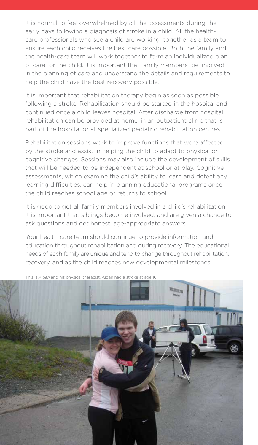It is normal to feel overwhelmed by all the assessments during the early days following a diagnosis of stroke in a child. All the healthcare professionals who see a child are working together as a team to ensure each child receives the best care possible. Both the family and the health-care team will work together to form an individualized plan of care for the child. It is important that family members be involved in the planning of care and understand the details and requirements to help the child have the best recovery possible.

It is important that rehabilitation therapy begin as soon as possible following a stroke. Rehabilitation should be started in the hospital and continued once a child leaves hospital. After discharge from hospital, rehabilitation can be provided at home, in an outpatient clinic that is part of the hospital or at specialized pediatric rehabilitation centres.

Rehabilitation sessions work to improve functions that were affected by the stroke and assist in helping the child to adapt to physical or cognitive changes. Sessions may also include the development of skills that will be needed to be independent at school or at play. Cognitive assessments, which examine the child's ability to learn and detect any learning difficulties, can help in planning educational programs once the child reaches school age or returns to school.

It is good to get all family members involved in a child's rehabilitation. It is important that siblings become involved, and are given a chance to ask questions and get honest, age-appropriate answers.

Your health-care team should continue to provide information and education throughout rehabilitation and during recovery. The educational needs of each family are unique and tend to change throughout rehabilitation, recovery, and as the child reaches new developmental milestones.



This is *Aidan* and his physical therapist. Aidan had a stroke at age 16.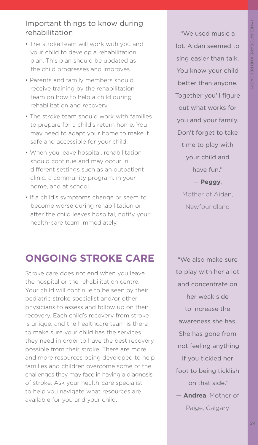#### Important things to know during rehabilitation

- The stroke team will work with you and your child to develop a rehabilitation plan. This plan should be updated as the child progresses and improves.
- Parents and family members should receive training by the rehabilitation team on how to help a child during rehabilitation and recovery.
- The stroke team should work with families to prepare for a child's return home. You may need to adapt your home to make it safe and accessible for your child.
- When you leave hospital, rehabilitation should continue and may occur in different settings such as an outpatient clinic, a community program, in your home, and at school.
- If a child's symptoms change or seem to become worse during rehabilitation or after the child leaves hospital, notify your health-care team immediately.

### **ONGOING STROKE CARE**

Stroke care does not end when you leave the hospital or the rehabilitation centre. Your child will continue to be seen by their pediatric stroke specialist and/or other physicians to assess and follow up on their recovery. Each child's recovery from stroke is unique, and the healthcare team is there to make sure your child has the services they need in order to have the best recovery possible from their stroke. There are more and more resources being developed to help families and children overcome some of the challenges they may face in having a diagnosis of stroke. Ask your health-care specialist to help you navigate what resources are available for you and your child.

"We used music a lot. Aidan seemed to sing easier than talk. You know your child better than anyone. Together you'll figure out what works for you and your family. Don't forget to take time to play with your child and have fun." — **Peggy**, Mother of Aidan,

Newfoundland

"We also make sure to play with her a lot and concentrate on her weak side to increase the awareness she has. She has gone from not feeling anything if you tickled her foot to being ticklish on that side." — **Andrea**, Mother of

Paige, Calgary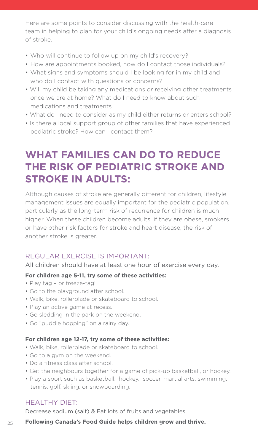Here are some points to consider discussing with the health-care team in helping to plan for your child's ongoing needs after a diagnosis of stroke.

- Who will continue to follow up on my child's recovery?
- How are appointments booked, how do I contact those individuals?
- What signs and symptoms should I be looking for in my child and who do I contact with questions or concerns?
- Will my child be taking any medications or receiving other treatments once we are at home? What do I need to know about such medications and treatments.
- What do I need to consider as my child either returns or enters school?
- Is there a local support group of other families that have experienced pediatric stroke? How can I contact them?

### **WHAT FAMILIES CAN DO TO REDUCE THE RISK OF PEDIATRIC STROKE AND STROKE IN ADULTS:**

Although causes of stroke are generally different for children, lifestyle management issues are equally important for the pediatric population, particularly as the long-term risk of recurrence for children is much higher. When these children become adults, if they are obese, smokers or have other risk factors for stroke and heart disease, the risk of another stroke is greater.

#### REGULAR EXERCISE IS IMPORTANT:

All children should have at least one hour of exercise every day.

#### **For children age 5-11, try some of these activities:**

- Play tag or freeze-tag!
- Go to the playground after school.
- Walk, bike, rollerblade or skateboard to school.
- Play an active game at recess.
- Go sledding in the park on the weekend.
- Go "puddle hopping" on a rainy day.

#### **For children age 12-17, try some of these activities:**

- Walk, bike, rollerblade or skateboard to school.
- Go to a gym on the weekend.
- Do a fitness class after school.
- Get the neighbours together for a game of pick-up basketball, or hockey.
- Play a sport such as basketball, hockey, soccer, martial arts, swimming, tennis, golf, skiing, or snowboarding.

#### HEALTHY DIET:

Decrease sodium (salt) & Eat lots of fruits and vegetables

#### **Following Canada's Food Guide helps children grow and thrive.** <sup>25</sup>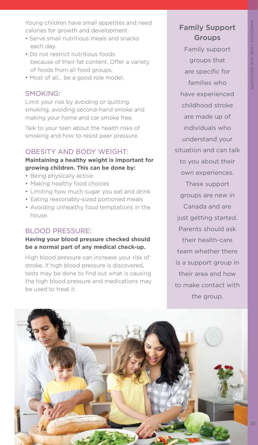Young children have small appetites and need calories for growth and development.

- Serve small nutritious meals and snacks each day.
- Do not restrict nutritious foods because of their fat content. Offer a variety of foods from all food groups.
- Most of all... be a good role model.

#### SMOKING:

Limit your risk by avoiding or quitting smoking, avoiding second-hand smoke and making your home and car smoke free.

Talk to your teen about the health risks of smoking and how to resist peer pressure.

#### OBESITY AND BODY WEIGHT:

#### **Maintaining a healthy weight is important for growing children. This can be done by:**

- Being physically active
- Making healthy food choices
- Limiting how much sugar you eat and drink
- Eating reasonably-sized portioned meals
- Avoiding unhealthy food temptations in the house.

#### BLOOD PRESSURE:

#### **Having your blood pressure checked should be a normal part of any medical check-up.**

High blood pressure can increase your risk of stroke. If high blood pressure is discovered, tests may be done to find out what is causing the high blood pressure and medications may be used to treat it.

#### Family Support Groups

Family support groups that are specific for families who have experienced childhood stroke are made up of individuals who understand your situation and can talk to you about their own experiences. These support groups are new in Canada and are just getting started. Parents should ask their health-care team whether there is a support group in their area and how to make contact with the group.

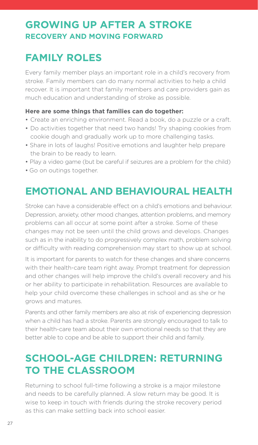#### **GROWING UP AFTER A STROKE RECOVERY AND MOVING FORWARD**

### **FAMILY ROLES**

Every family member plays an important role in a child's recovery from stroke. Family members can do many normal activities to help a child recover. It is important that family members and care providers gain as much education and understanding of stroke as possible.

#### **Here are some things that families can do together:**

- Create an enriching environment. Read a book, do a puzzle or a craft.
- Do activities together that need two hands! Try shaping cookies from cookie dough and gradually work up to more challenging tasks.
- Share in lots of laughs! Positive emotions and laughter help prepare the brain to be ready to learn.
- Play a video game (but be careful if seizures are a problem for the child)
- Go on outings together.

### **EMOTIONAL AND BEHAVIOURAL HEALTH**

Stroke can have a considerable effect on a child's emotions and behaviour. Depression, anxiety, other mood changes, attention problems, and memory problems can all occur at some point after a stroke. Some of these changes may not be seen until the child grows and develops. Changes such as in the inability to do progressively complex math, problem solving or difficulty with reading comprehension may start to show up at school.

It is important for parents to watch for these changes and share concerns with their health-care team right away. Prompt treatment for depression and other changes will help improve the child's overall recovery and his or her ability to participate in rehabilitation. Resources are available to help your child overcome these challenges in school and as she or he grows and matures.

Parents and other family members are also at risk of experiencing depression when a child has had a stroke. Parents are strongly encouraged to talk to their health-care team about their own emotional needs so that they are better able to cope and be able to support their child and family.

### **SCHOOL-AGE CHILDREN: RETURNING TO THE CLASSROOM**

Returning to school full-time following a stroke is a major milestone and needs to be carefully planned. A slow return may be good. It is wise to keep in touch with friends during the stroke recovery period as this can make settling back into school easier.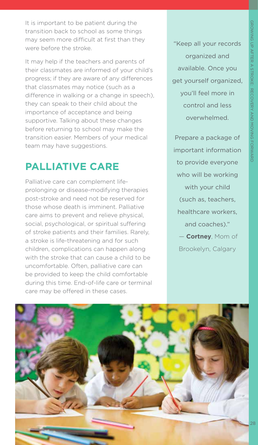It is important to be patient during the transition back to school as some things may seem more difficult at first than they were before the stroke.

It may help if the teachers and parents of their classmates are informed of your child's progress; if they are aware of any differences that classmates may notice (such as a difference in walking or a change in speech), they can speak to their child about the importance of acceptance and being supportive. Talking about these changes before returning to school may make the transition easier. Members of your medical team may have suggestions.

#### **PALLIATIVE CARE**

Palliative care can complement lifeprolonging or disease-modifying therapies post-stroke and need not be reserved for those whose death is imminent. Palliative care aims to prevent and relieve physical, social, psychological, or spiritual suffering of stroke patients and their families. Rarely, a stroke is life-threatening and for such children, complications can happen along with the stroke that can cause a child to be uncomfortable. Often, palliative care can be provided to keep the child comfortable during this time. End-of-life care or terminal care may be offered in these cases.

"Keep all your records organized and available. Once you get yourself organized, you'll feel more in control and less overwhelmed.

Prepare a package of important information to provide everyone who will be working with your child (such as, teachers, healthcare workers, and coaches)." — **Cortney**, Mom of

Brookelyn, Calgary

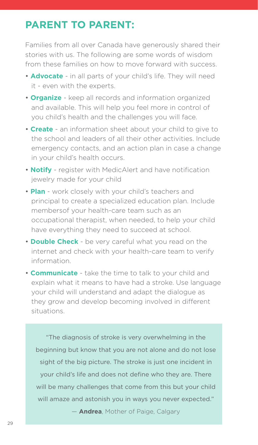### **PARENT TO PARENT:**

Families from all over Canada have generously shared their stories with us. The following are some words of wisdom from these families on how to move forward with success.

- **Advocate** in all parts of your child's life. They will need it - even with the experts.
- **Organize** keep all records and information organized and available. This will help you feel more in control of you child's health and the challenges you will face.
- **Create** an information sheet about your child to give to the school and leaders of all their other activities. Include emergency contacts, and an action plan in case a change in your child's health occurs.
- **Notify** register with MedicAlert and have notification jewelry made for your child
- **Plan** work closely with your child's teachers and principal to create a specialized education plan. Include membersof your health-care team such as an occupational therapist, when needed, to help your child have everything they need to succeed at school.
- **Double Check** be very careful what you read on the internet and check with your health-care team to verify information.
- **Communicate** take the time to talk to your child and explain what it means to have had a stroke. Use language your child will understand and adapt the dialogue as they grow and develop becoming involved in different situations.

"The diagnosis of stroke is very overwhelming in the beginning but know that you are not alone and do not lose sight of the big picture. The stroke is just one incident in your child's life and does not define who they are. There will be many challenges that come from this but your child will amaze and astonish you in ways you never expected."

— **Andrea**, Mother of Paige, Calgary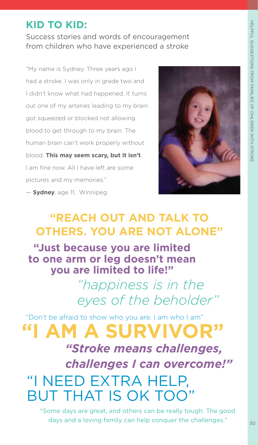### **KID TO KID:**

Success stories and words of encouragement from children who have experienced a stroke

"My name is Sydney. Three years ago I had a stroke. I was only in grade two and I didn't know what had happened. It turns out one of my arteries leading to my brain got squeezed or blocked not allowing blood to get through to my brain. The human brain can't work properly without blood. **This may seem scary, but it isn't**. I am fine now. All I have left are some pictures and my memories."



— **Sydney**, age 11, Winnipeg.

### **"REACH OUT AND TALK TO OTHERS. YOU ARE NOT ALONE"**

**"Just because you are limited to one arm or leg doesn't mean you are limited to life!"**

> *"happiness is in the eyes of the beholder"*

"Don't be afraid to show who you are. I am who I am" **"I AM A SURVIVOR"** *"Stroke means challenges, challenges I can overcome!"*  "I NEED EXTRA HELP, BUT THAT IS OK TOO"

"Some days are great, and others can be really tough. The good days and a loving family can help conquer the challenges."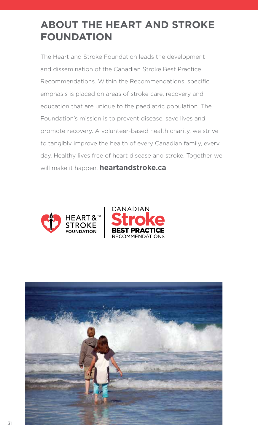### **ABOUT THE HEART AND STROKE FOUNDATION**

The Heart and Stroke Foundation leads the development and dissemination of the Canadian Stroke Best Practice Recommendations. Within the Recommendations, specific emphasis is placed on areas of stroke care, recovery and education that are unique to the paediatric population. The Foundation's mission is to prevent disease, save lives and promote recovery. A volunteer-based health charity, we strive to tangibly improve the health of every Canadian family, every day. Healthy lives free of heart disease and stroke. Together we will make it happen. **heartandstroke.ca**



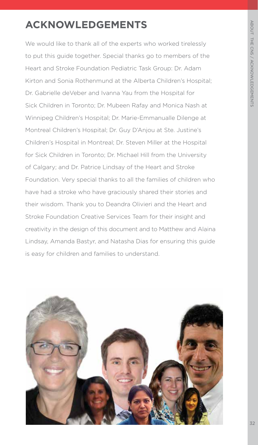### **ACKNOWLEDGEMENTS**

We would like to thank all of the experts who worked tirelessly to put this guide together. Special thanks go to members of the Heart and Stroke Foundation Pediatric Task Group: Dr. Adam Kirton and Sonia Rothenmund at the Alberta Children's Hospital; Dr. Gabrielle deVeber and Ivanna Yau from the Hospital for Sick Children in Toronto; Dr. Mubeen Rafay and Monica Nash at Winnipeg Children's Hospital; Dr. Marie-Emmanualle Dilenge at Montreal Children's Hospital; Dr. Guy D'Anjou at Ste. Justine's Children's Hospital in Montreal; Dr. Steven Miller at the Hospital for Sick Children in Toronto; Dr. Michael Hill from the University of Calgary; and Dr. Patrice Lindsay of the Heart and Stroke Foundation. Very special thanks to all the families of children who have had a stroke who have graciously shared their stories and their wisdom. Thank you to Deandra Olivieri and the Heart and Stroke Foundation Creative Services Team for their insight and creativity in the design of this document and to Matthew and Alaina Lindsay, Amanda Bastyr, and Natasha Dias for ensuring this guide is easy for children and families to understand.

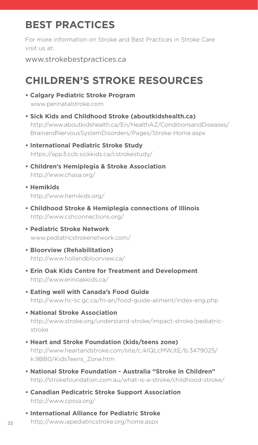### **BEST PRACTICES**

For more information on Stroke and Best Practices in Stroke Care visit us at:

www.strokebestpractices.ca

## **CHILDREN'S STROKE RESOURCES**

- **Calgary Pediatric Stroke Program**  www.perinatalstroke.com
- **Sick Kids and Childhood Stroke (aboutkidshealth.ca)** http://www.aboutkidshealth.ca/En/HealthAZ/ConditionsandDiseases/ BrainandNervousSystemDisorders/Pages/Stroke-Home.aspx
- **International Pediatric Stroke Study** https://app3.ccb.sickkids.ca/cstrokestudy/
- **Children's Hemiplegia & Stroke Association**  http://www.chasa.org/
- **Hemikids** http://www.hemikids.org/
- **Childhood Stroke & Hemiplegia connections of Illinois** http://www.cshconnections.org/
- **Pediatric Stroke Network** www.pediatricstrokenetwork.com/
- **Bloorview (Rehabilitation)** http://www.hollandbloorview.ca/
- **Erin Oak Kids Centre for Treatment and Development** http://www.erinoakkids.ca/
- **Eating well with Canada's Food Guide** http://www.hc-sc.gc.ca/fn-an/food-guide-aliment/index-eng.php
- **National Stroke Association** http://www.stroke.org/understand-stroke/impact-stroke/pediatric stroke
- **Heart and Stroke Foundation (kids/teens zone)** http://www.heartandstroke.com/site/c.ikIQLcMWJtE/b.3479025/ k.9BB0/KidsTeens\_Zone.htm
- **National Stroke Foundation Australia "Stroke in Children"** http://strokefoundation.com.au/what-is-a-stroke/childhood-stroke/
- **Canadian Pedicatric Stroke Support Association** http://www.cpssa.org/
- **International Alliance for Pediatric Stroke** 33 http://www.iapediatricstroke.org/home.aspx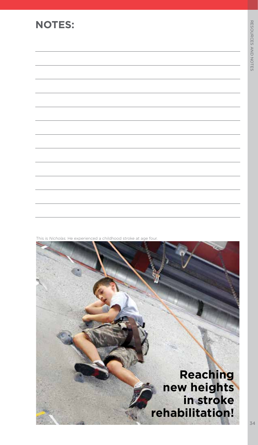#### **NOTES:**



He experienced a childhood stroke at age four